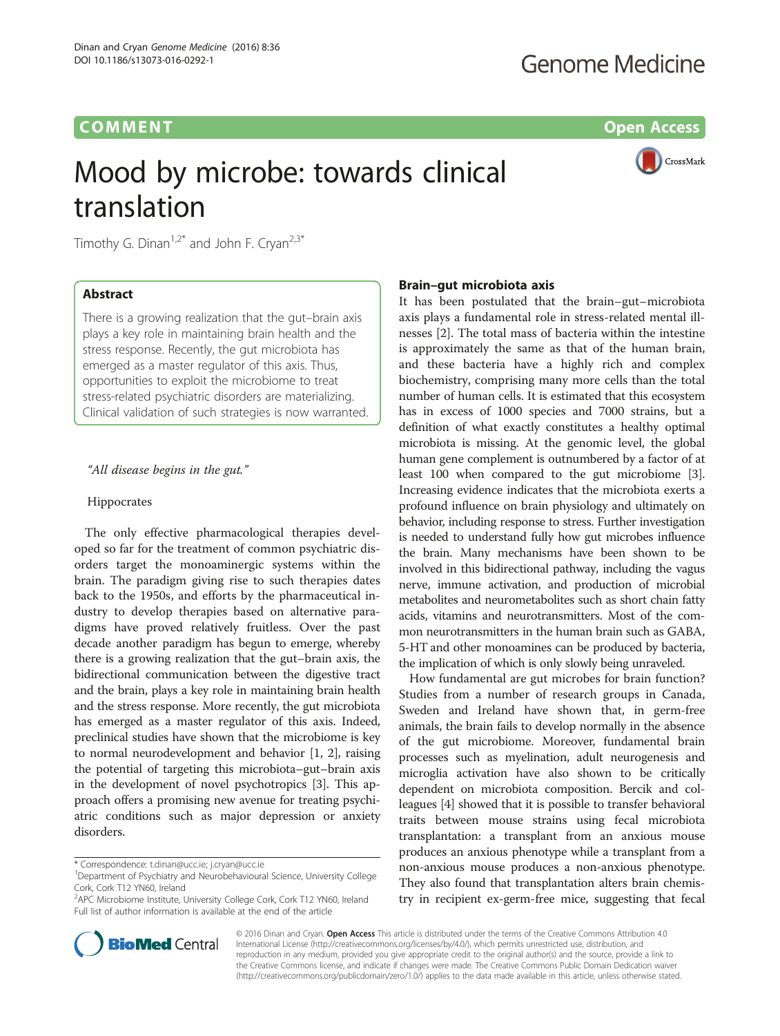# **COMMENT COMMENT COMMENT**

# Mood by microbe: towards clinical translation



Timothy G. Dinan<sup>1,2\*</sup> and John F. Cryan<sup>2,3\*</sup>

## Abstract

There is a growing realization that the gut–brain axis plays a key role in maintaining brain health and the stress response. Recently, the gut microbiota has emerged as a master regulator of this axis. Thus, opportunities to exploit the microbiome to treat stress-related psychiatric disorders are materializing. Clinical validation of such strategies is now warranted.

## "All disease begins in the gut."

## Hippocrates

The only effective pharmacological therapies developed so far for the treatment of common psychiatric disorders target the monoaminergic systems within the brain. The paradigm giving rise to such therapies dates back to the 1950s, and efforts by the pharmaceutical industry to develop therapies based on alternative paradigms have proved relatively fruitless. Over the past decade another paradigm has begun to emerge, whereby there is a growing realization that the gut–brain axis, the bidirectional communication between the digestive tract and the brain, plays a key role in maintaining brain health and the stress response. More recently, the gut microbiota has emerged as a master regulator of this axis. Indeed, preclinical studies have shown that the microbiome is key to normal neurodevelopment and behavior [[1](#page-2-0), [2](#page-2-0)], raising the potential of targeting this microbiota–gut–brain axis in the development of novel psychotropics [\[3](#page-2-0)]. This approach offers a promising new avenue for treating psychiatric conditions such as major depression or anxiety disorders.



It has been postulated that the brain–gut–microbiota axis plays a fundamental role in stress-related mental illnesses [\[2](#page-2-0)]. The total mass of bacteria within the intestine is approximately the same as that of the human brain, and these bacteria have a highly rich and complex biochemistry, comprising many more cells than the total number of human cells. It is estimated that this ecosystem has in excess of 1000 species and 7000 strains, but a definition of what exactly constitutes a healthy optimal microbiota is missing. At the genomic level, the global human gene complement is outnumbered by a factor of at least 100 when compared to the gut microbiome [[3](#page-2-0)]. Increasing evidence indicates that the microbiota exerts a profound influence on brain physiology and ultimately on behavior, including response to stress. Further investigation is needed to understand fully how gut microbes influence the brain. Many mechanisms have been shown to be involved in this bidirectional pathway, including the vagus nerve, immune activation, and production of microbial metabolites and neurometabolites such as short chain fatty acids, vitamins and neurotransmitters. Most of the common neurotransmitters in the human brain such as GABA, 5-HT and other monoamines can be produced by bacteria, the implication of which is only slowly being unraveled.

How fundamental are gut microbes for brain function? Studies from a number of research groups in Canada, Sweden and Ireland have shown that, in germ-free animals, the brain fails to develop normally in the absence of the gut microbiome. Moreover, fundamental brain processes such as myelination, adult neurogenesis and microglia activation have also shown to be critically dependent on microbiota composition. Bercik and colleagues [\[4](#page-2-0)] showed that it is possible to transfer behavioral traits between mouse strains using fecal microbiota transplantation: a transplant from an anxious mouse produces an anxious phenotype while a transplant from a non-anxious mouse produces a non-anxious phenotype. They also found that transplantation alters brain chemistry in recipient ex-germ-free mice, suggesting that fecal



© 2016 Dinan and Cryan. Open Access This article is distributed under the terms of the Creative Commons Attribution 4.0 International License [\(http://creativecommons.org/licenses/by/4.0/](http://creativecommons.org/licenses/by/4.0/)), which permits unrestricted use, distribution, and reproduction in any medium, provided you give appropriate credit to the original author(s) and the source, provide a link to the Creative Commons license, and indicate if changes were made. The Creative Commons Public Domain Dedication waiver [\(http://creativecommons.org/publicdomain/zero/1.0/](http://creativecommons.org/publicdomain/zero/1.0/)) applies to the data made available in this article, unless otherwise stated.

<sup>\*</sup> Correspondence: [t.dinan@ucc.ie](mailto:t.dinan@ucc.ie); [j.cryan@ucc.ie](mailto:j.cryan@ucc.ie) <sup>1</sup>

<sup>&</sup>lt;sup>1</sup>Department of Psychiatry and Neurobehavioural Science, University College Cork, Cork T12 YN60, Ireland

<sup>&</sup>lt;sup>2</sup>APC Microbiome Institute, University College Cork, Cork T12 YN60, Ireland Full list of author information is available at the end of the article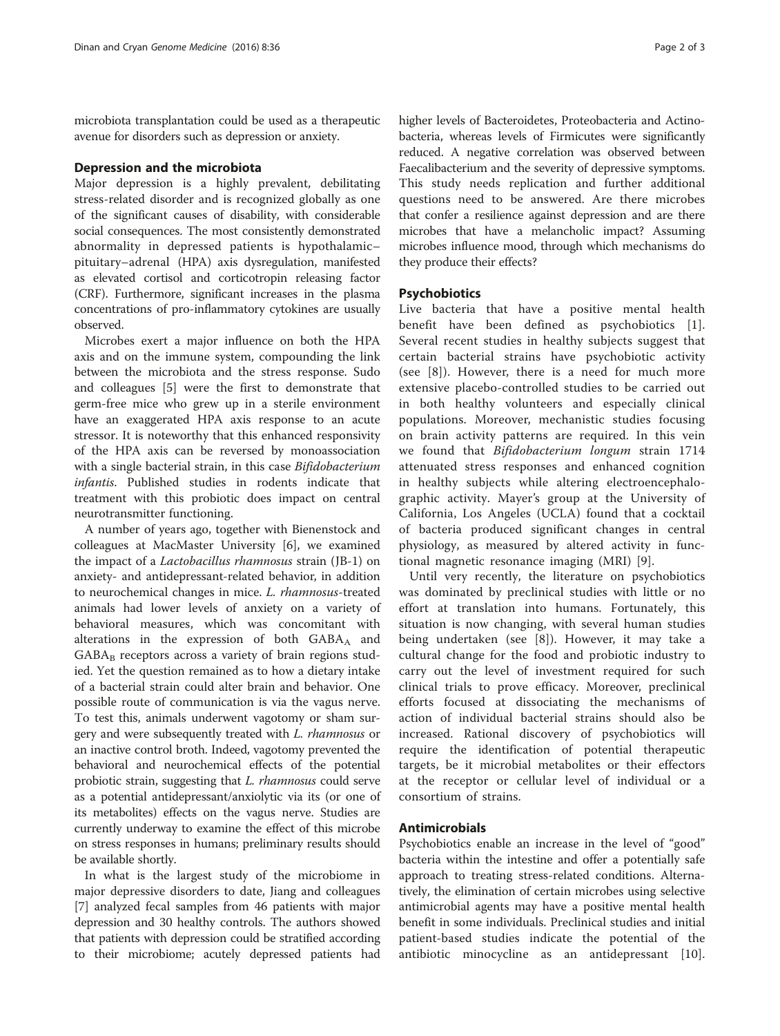microbiota transplantation could be used as a therapeutic avenue for disorders such as depression or anxiety.

### Depression and the microbiota

Major depression is a highly prevalent, debilitating stress-related disorder and is recognized globally as one of the significant causes of disability, with considerable social consequences. The most consistently demonstrated abnormality in depressed patients is hypothalamic– pituitary–adrenal (HPA) axis dysregulation, manifested as elevated cortisol and corticotropin releasing factor (CRF). Furthermore, significant increases in the plasma concentrations of pro-inflammatory cytokines are usually observed.

Microbes exert a major influence on both the HPA axis and on the immune system, compounding the link between the microbiota and the stress response. Sudo and colleagues [\[5\]](#page-2-0) were the first to demonstrate that germ-free mice who grew up in a sterile environment have an exaggerated HPA axis response to an acute stressor. It is noteworthy that this enhanced responsivity of the HPA axis can be reversed by monoassociation with a single bacterial strain, in this case Bifidobacterium infantis. Published studies in rodents indicate that treatment with this probiotic does impact on central neurotransmitter functioning.

A number of years ago, together with Bienenstock and colleagues at MacMaster University [[6\]](#page-2-0), we examined the impact of a Lactobacillus rhamnosus strain (JB-1) on anxiety- and antidepressant-related behavior, in addition to neurochemical changes in mice. L. rhamnosus-treated animals had lower levels of anxiety on a variety of behavioral measures, which was concomitant with alterations in the expression of both  $GABA_A$  and  $GABA_B$  receptors across a variety of brain regions studied. Yet the question remained as to how a dietary intake of a bacterial strain could alter brain and behavior. One possible route of communication is via the vagus nerve. To test this, animals underwent vagotomy or sham surgery and were subsequently treated with L. rhamnosus or an inactive control broth. Indeed, vagotomy prevented the behavioral and neurochemical effects of the potential probiotic strain, suggesting that L. rhamnosus could serve as a potential antidepressant/anxiolytic via its (or one of its metabolites) effects on the vagus nerve. Studies are currently underway to examine the effect of this microbe on stress responses in humans; preliminary results should be available shortly.

In what is the largest study of the microbiome in major depressive disorders to date, Jiang and colleagues [[7\]](#page-2-0) analyzed fecal samples from 46 patients with major depression and 30 healthy controls. The authors showed that patients with depression could be stratified according to their microbiome; acutely depressed patients had higher levels of Bacteroidetes, Proteobacteria and Actinobacteria, whereas levels of Firmicutes were significantly reduced. A negative correlation was observed between Faecalibacterium and the severity of depressive symptoms. This study needs replication and further additional questions need to be answered. Are there microbes that confer a resilience against depression and are there microbes that have a melancholic impact? Assuming microbes influence mood, through which mechanisms do they produce their effects?

## Psychobiotics

Live bacteria that have a positive mental health benefit have been defined as psychobiotics [[1](#page-2-0)]. Several recent studies in healthy subjects suggest that certain bacterial strains have psychobiotic activity (see [[8](#page-2-0)]). However, there is a need for much more extensive placebo-controlled studies to be carried out in both healthy volunteers and especially clinical populations. Moreover, mechanistic studies focusing on brain activity patterns are required. In this vein we found that Bifidobacterium longum strain 1714 attenuated stress responses and enhanced cognition in healthy subjects while altering electroencephalographic activity. Mayer's group at the University of California, Los Angeles (UCLA) found that a cocktail of bacteria produced significant changes in central physiology, as measured by altered activity in functional magnetic resonance imaging (MRI) [\[9](#page-2-0)].

Until very recently, the literature on psychobiotics was dominated by preclinical studies with little or no effort at translation into humans. Fortunately, this situation is now changing, with several human studies being undertaken (see [[8\]](#page-2-0)). However, it may take a cultural change for the food and probiotic industry to carry out the level of investment required for such clinical trials to prove efficacy. Moreover, preclinical efforts focused at dissociating the mechanisms of action of individual bacterial strains should also be increased. Rational discovery of psychobiotics will require the identification of potential therapeutic targets, be it microbial metabolites or their effectors at the receptor or cellular level of individual or a consortium of strains.

## Antimicrobials

Psychobiotics enable an increase in the level of "good" bacteria within the intestine and offer a potentially safe approach to treating stress-related conditions. Alternatively, the elimination of certain microbes using selective antimicrobial agents may have a positive mental health benefit in some individuals. Preclinical studies and initial patient-based studies indicate the potential of the antibiotic minocycline as an antidepressant [\[10](#page-2-0)].